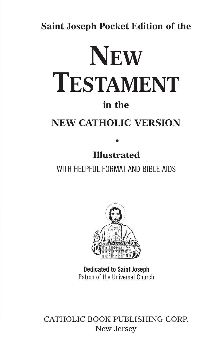## **Saint Joseph Pocket Edition of the**

# **NEW TESTAMENT**

## **in the**

# **NEW CATHOLIC VERSION**

**Illustrated**

WITH HELPFUL FORMAT AND BIBLE AIDS



**Dedicated to Saint Joseph** Patron of the Universal Church

CATHOLIC BOOK PUBLISHING CORP. New Jersey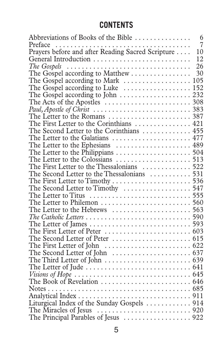## **CONTENTS**

| Abbreviations of Books of the Bible                                                  | 6              |
|--------------------------------------------------------------------------------------|----------------|
| Preface                                                                              | $\overline{7}$ |
| Prayers before and after Reading Sacred Scripture                                    | 10             |
|                                                                                      | 12             |
| The Gospels $\ldots \ldots \ldots \ldots \ldots \ldots \ldots \ldots \ldots \ldots$  | 26             |
|                                                                                      | 30             |
| The Gospel according to Mark                                                         | 105            |
| The Gospel according to Luke  152                                                    |                |
| The Gospel according to John  232                                                    |                |
|                                                                                      |                |
|                                                                                      |                |
|                                                                                      |                |
| The First Letter to the Corinthians  421                                             |                |
| The Second Letter to the Corinthians  455                                            |                |
| The Letter to the Galatians  477                                                     |                |
|                                                                                      |                |
| The Letter to the Philippians $\ldots \ldots \ldots \ldots \ldots \ldots \ldots$ 504 |                |
|                                                                                      |                |
| The First Letter to the Thessalonians  522                                           |                |
| The Second Letter to the Thessalonians  531                                          |                |
|                                                                                      |                |
| The Second Letter to Timothy  547                                                    |                |
|                                                                                      |                |
| The Letter to Philemon $\ldots \ldots \ldots \ldots \ldots \ldots \ldots 560$        |                |
|                                                                                      |                |
|                                                                                      |                |
|                                                                                      |                |
| The First Letter of Peter $\dots\dots\dots\dots\dots\dots\dots$ 603                  |                |
| The Second Letter of Peter $\dots\dots\dots\dots\dots\dots\dots$ 615                 |                |
| The First Letter of John  622                                                        |                |
|                                                                                      |                |
|                                                                                      |                |
|                                                                                      |                |
|                                                                                      |                |
|                                                                                      |                |
|                                                                                      |                |
|                                                                                      |                |
| Liturgical Index of the Sunday Gospels  914                                          |                |
|                                                                                      |                |
|                                                                                      |                |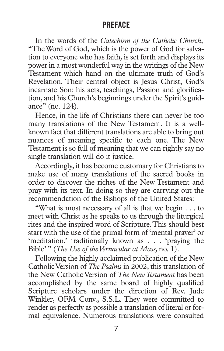#### **PREFACE**

In the words of the *Catechism of the Catholic Church,* "TheWord of God, which is the power of God for salvation to everyone who has faith, is set forth and displays its power in a most wonderful way in the writings of the New Testament which hand on the ultimate truth of God's Revelation. Their central object is Jesus Christ, God's incarnate Son: his acts, teachings, Passion and glorification, and his Church's beginnings under the Spirit's guidance" (no. 124).

Hence, in the life of Christians there can never be too many translations of the New Testament. It is a wellknown fact that different translations are able to bring out nuances of meaning specific to each one. The New Testament is so full of meaning that we can rightly say no single translation will do it justice.

Accordingly, it has become customary for Christians to make use of many translations of the sacred books in order to discover the riches of the New Testament and pray with its text. In doing so they are carrying out the recommendation of the Bishops of the United States:

"What is most necessary of all is that we begin . . . to meet with Christ as he speaks to us through the liturgical rites and the inspired word of Scripture.This should best start with the use of the primal form of 'mental prayer' or 'meditation,' traditionally known as . . . 'praying the Bible'," (*The Use of theVernacular at Mass,* no. 1).

Following the highly acclaimed publication of the New CatholicVersion of *The Psalms* in 2002, this translation of the New Catholic Version of *The NewTestament* has been accomplished by the same board of highly qualified Scripture scholars under the direction of Rev. Jude Winkler, OFM Conv., S.S.L. They were committed to render as perfectly as possible a translation of literal or formal equivalence. Numerous translations were consulted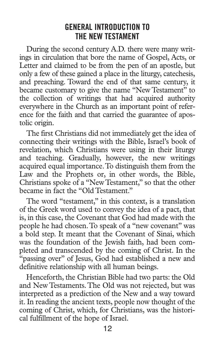#### **GENERAL INTRODUCTION TO THE NEW TESTAMENT**

During the second century A.D. there were many writings in circulation that bore the name of Gospel, Acts, or Letter and claimed to be from the pen of an apostle, but only a few of these gained a place in the liturgy, catechesis, and preaching. Toward the end of that same century, it became customary to give the name "New Testament" to the collection of writings that had acquired authority everywhere in the Church as an important point of reference for the faith and that carried the guarantee of apostolic origin.

The first Christians did not immediately get the idea of connecting their writings with the Bible, Israel's book of revelation, which Christians were using in their liturgy and teaching. Gradually, however, the new writings acquired equal importance.To distinguish them from the Law and the Prophets or, in other words, the Bible, Christians spoke of a "NewTestament," so that the other became in fact the "Old Testament."

The word "testament," in this context, is a translation of the Greek word used to convey the idea of a pact, that is, in this case, the Covenant that God had made with the people he had chosen.To speak of a "new covenant" was a bold step. It meant that the Covenant of Sinai, which was the foundation of the Jewish faith, had been completed and transcended by the coming of Christ. In the "passing over" of Jesus, God had established a new and definitive relationship with all human beings.

Henceforth, the Christian Bible had two parts: the Old and New Testaments.The Old was not rejected, but was interpreted as a prediction of the New and a way toward it.In reading the ancient texts, people now thought of the coming of Christ, which, for Christians, was the historical fulfillment of the hope of Israel.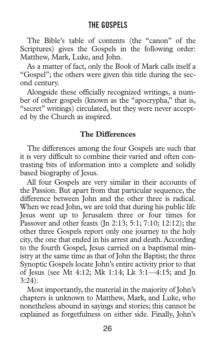The Bible's table of contents (the "canon" of the Scriptures) gives the Gospels in the following order: Matthew, Mark, Luke, and John.

As a matter of fact, only the Book of Mark calls itself a "Gospel"; the others were given this title during the second century.

Alongside these officially recognized writings, a number of other gospels (known as the "apocrypha," that is, "secret" writings) circulated, but they were never accepted by the Church as inspired.

#### **The Differences**

The differences among the four Gospels are such that it is very difficult to combine their varied and often contrasting bits of information into a complete and solidly based biography of Jesus.

All four Gospels are very similar in their accounts of the Passion. But apart from that particular sequence, the difference between John and the other three is radical. When we read John, we are told that during his public life Jesus went up to Jerusalem three or four times for Passover and other feasts (Jn 2:13; 5:1; 7:10; 12:12); the other three Gospels report only one journey to the holy city, the one that ended in his arrest and death.According to the fourth Gospel, Jesus carried on a baptismal ministry at the same time as that of John the Baptist; the three Synoptic Gospels locate John's entire activity prior to that of Jesus (see Mt 4:12; Mk 1:14; Lk 3:1—4:15; and Jn 3:24).

Most importantly, the material in the majority of John's chapters is unknown to Matthew, Mark, and Luke, who nonetheless abound in sayings and stories; this cannot be explained as forgetfulness on either side. Finally, John's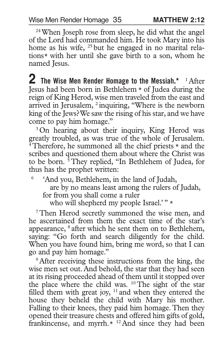<sup>24</sup> When Joseph rose from sleep, he did what the angel of the Lord had commanded him. He took Mary into his home as his wife, <sup>25</sup> but he engaged in no marital relations\* with her until she gave birth to a son, whom he named Jesus.

**2 The Wise Men Render Homage to the Messiah.\*** 1, After Jesus had been born in Bethlehem \* of Judea during the reign of King Herod, wise men traveled from the east and arrived in Jerusalem, <sup>2</sup> inquiring, "Where is the newborn king of the Jews?We saw the rising of his star, and we have come to pay him homage."

<sup>3</sup>On hearing about their inquiry, King Herod was greatly troubled, as was true of the whole of Jerusalem. <sup>4</sup>Therefore, he summoned all the chief priests \* and the scribes and questioned them about where the Christ was to be born.<sup>5</sup> They replied, "In Bethlehem of Judea, for thus has the prophet written:

<sup>6</sup> 'And you, Bethlehem, in the land of Judah, are by no means least among the rulers of Judah, for from you shall come a ruler

who will shepherd my people Israel.'"\*

<sup>7</sup>Then Herod secretly summoned the wise men, and he ascertained from them the exact time of the star's appearance, <sup>8</sup> after which he sent them on to Bethlehem, saying: "Go forth and search diligently for the child. When you have found him, bring me word, so that I can go and pay him homage."

<sup>9</sup> After receiving these instructions from the king, the wise men set out. And behold, the star that they had seen at its rising proceeded ahead of them until it stopped over the place where the child was. <sup>10</sup> The sight of the star filled them with great joy,  $11$  and when they entered the house they beheld the child with Mary his mother. Falling to their knees, they paid him homage.Then they opened their treasure chests and offered him gifts of gold, frankincense, and myrrh. $*$  <sup>12</sup> And since they had been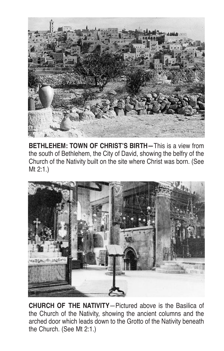

**BETHLEHEM: TOWN OF CHRIST'S BIRTH—**This is a view from the south of Bethlehem, the City of David, showing the belfry of the Church of the Nativity built on the site where Christ was born. (See Mt 2:1.)



**CHURCH OF THE NATIVITY**—Pictured above is the Basilica of the Church of the Nativity, showing the ancient columns and the arched door which leads down to the Grotto of the Nativity beneath the Church. (See Mt 2:1.)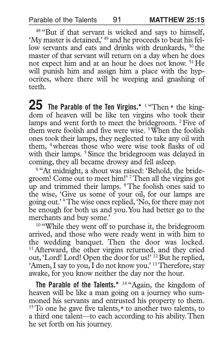<sup>48</sup> "But if that servant is wicked and says to himself, 'My master is detained,' <sup>49</sup> and he proceeds to beat his fellow servants and eats and drinks with drunkards, <sup>50</sup> the master of that servant will return on a day when he does not expect him and at an hour he does not know. <sup>51</sup>He will punish him and assign him a place with the hypocrites, where there will be weeping and gnashing of teeth.

**25** The Parable of the Ten Virgins.\* 1 "Then \* the kingdom of heaven will be like ten virgins who took their lamps and went forth to meet the bridegroom. <sup>2</sup> Five of them were foolish and five were wise.<sup>3</sup> When the foolish ones took their lamps, they neglected to take any oil with them, <sup>4</sup> whereas those who were wise took flasks of oil with their lamps.<sup>5</sup> Since the bridegroom was delayed in coming, they all became drowsy and fell asleep.

<sup>6 "At midnight, a shout was raised: 'Behold, the bride-</sup> groom! Come out to meet him!' <sup>7</sup> Then all the virgins got up and trimmed their lamps. <sup>8</sup>The foolish ones said to the wise, 'Give us some of your oil, for our lamps are going out.' <sup>9</sup> The wise ones replied, 'No, for there may not be enough for both us and you.You had better go to the merchants and buy some.'

<sup>10</sup> "While they went off to purchase it, the bridegroom arrived, and those who were ready went in with him to the wedding banquet. Then the door was locked. <sup>11</sup> Afterward, the other virgins returned, and they cried out, 'Lord! Lord! Open the door for us!' <sup>12</sup> But he replied, 'Amen, I say to you, I do not know you.' <sup>13</sup> Therefore, stay awake, for you know neither the day nor the hour.

**The Parable of the Talents.\*** 14, "Again, the kingdom of heaven will be like a man going on a journey who summoned his servants and entrusted his property to them.  $15$  To one he gave five talents,  $*$  to another two talents, to a third one talent—to each according to his ability.Then he set forth on his journey.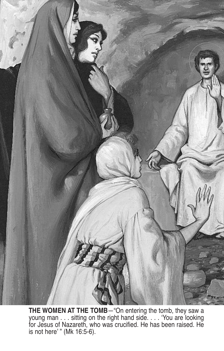

**THE WOMEN AT THE TOMB**—"On entering the tomb, they saw a young man . . . sitting on the right hand side. . . . 'You are looking for Jesus of Nazareth, who was crucified. He has been raised. He is not here' " (Mk 16:5-6).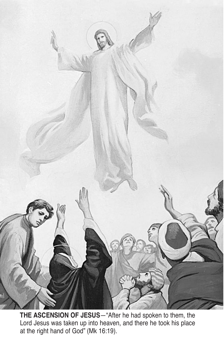

**THE ASCENSION OF JESUS**—"After he had spoken to them, the Lord Jesus was taken up into heaven, and there he took his place at the right hand of God" (Mk 16:19).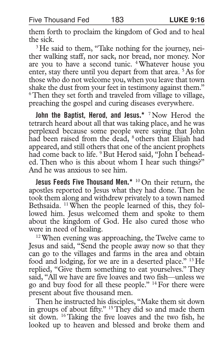them forth to proclaim the kingdom of God and to heal the sick.

<sup>3</sup>He said to them, "Take nothing for the journey, neither walking staff, nor sack, nor bread, nor money. Nor are you to have a second tunic. <sup>4</sup>Whatever house you enter, stay there until you depart from that area.<sup>5</sup> As for those who do not welcome you, when you leave that town shake the dust from your feet in testimony against them." <sup>6</sup> Then they set forth and traveled from village to village, preaching the gospel and curing diseases everywhere.

**John the Baptist, Herod, and Jesus.\*** 7, Now Herod the tetrarch heard about all that was taking place, and he was perplexed because some people were saying that John had been raised from the dead, <sup>8</sup> others that Elijah had appeared, and still others that one of the ancient prophets had come back to life. <sup>9</sup> But Herod said, "John I beheaded. Then who is this about whom I hear such things?" And he was anxious to see him.

**Jesus Feeds Five Thousand Men.\*** 10, On their return, the apostles reported to Jesus what they had done. Then he took them along and withdrew privately to a town named Bethsaida. <sup>11</sup> When the people learned of this, they followed him. Jesus welcomed them and spoke to them about the kingdom of God. He also cured those who were in need of healing.

<sup>12</sup> When evening was approaching, the Twelve came to Jesus and said, "Send the people away now so that they can go to the villages and farms in the area and obtain food and lodging, for we are in a deserted place." <sup>13</sup>He replied, "Give them something to eat yourselves." They said, "All we have are five loaves and two fish—unless we go and buy food for all these people." <sup>14</sup> For there were present about five thousand men.

Then he instructed his disciples, "Make them sit down in groups of about fifty." <sup>15</sup> They did so and made them sit down. <sup>16</sup> Taking the five loaves and the two fish, he looked up to heaven and blessed and broke them and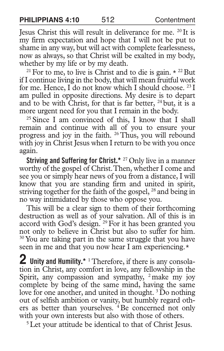Jesus Christ this will result in deliverance for me. <sup>20</sup> It is my firm expectation and hope that I will not be put to shame in any way, but will act with complete fearlessness, now as always, so that Christ will be exalted in my body, whether by my life or by my death.

<sup>21</sup> For to me, to live is Christ and to die is gain.  $\star$  <sup>22</sup> But if I continue living in the body, that will mean fruitful work for me. Hence, I do not know which I should choose.<sup>23</sup> I am pulled in opposite directions. My desire is to depart and to be with Christ, for that is far better,  $24$  but, it is a more urgent need for you that I remain in the body.

<sup>25</sup> Since I am convinced of this, I know that I shall remain and continue with all of you to ensure your progress and joy in the faith. <sup>26</sup> Thus, you will rebound with joy in Christ Jesus when I return to be with you once again.

**Striving and Suffering for Christ.\*** 27, Only live in a manner worthy of the gospel of Christ.Then, whether I come and see you or simply hear news of you from a distance, I will know that you are standing firm and united in spirit, striving together for the faith of the gospel, <sup>28</sup> and being in no way intimidated by those who oppose you.

This will be a clear sign to them of their forthcoming destruction as well as of your salvation. All of this is in accord with God's design. <sup>29</sup> For it has been granted you not only to believe in Christ but also to suffer for him. <sup>30</sup> You are taking part in the same struggle that you have seen in me and that you now hear I am experiencing.\*

**2 Unity and Humility.\*** 1, Therefore, if there is any consola tion in Christ, any comfort in love, any fellowship in the Spirit, any compassion and sympathy,  $2$  make my joy complete by being of the same mind, having the same love for one another, and united in thought.<sup>3</sup> Do nothing out of selfish ambition or vanity, but humbly regard oth ers as better than yourselves. <sup>4</sup> Be concerned not only with your own interests but also with those of others.

<sup>5</sup> Let your attitude be identical to that of Christ Jesus.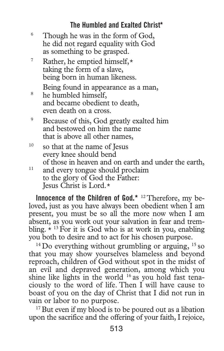### **The Humbled and Exalted Christ\***

- <sup>6</sup> Though he was in the form of God, he did not regard equality with God as something to be grasped.
- <sup>7</sup> Rather, he emptied himself, $*$ taking the form of a slave, being born in human likeness.
- Being found in appearance as a man, <sup>8</sup> he humbled himself, and became obedient to death, even death on a cross.
- <sup>9</sup> Because of this, God greatly exalted him and bestowed on him the name that is above all other names,
- <sup>10</sup> so that at the name of Jesus every knee should bend of those in heaven and on earth and under the earth,
- <sup>11</sup> and every tongue should proclaim to the glory of God the Father: Jesus Christ is Lord.\*

**Innocence of the Children of God.\*** 12, Therefore, my be loved, just as you have always been obedient when I am present, you must be so all the more now when I am absent, as you work out your salvation in fear and trem bling. \* <sup>13</sup> For it is God who is at work in you, enabling you both to desire and to act for his chosen purpose.

 $14$  Do everything without grumbling or arguing,  $15$  so that you may show yourselves blameless and beyond reproach, children of God without spot in the midst of an evil and depraved generation, among which you shine like lights in the world  $16$  as you hold fast tenaciously to the word of life. Then I will have cause to boast of you on the day of Christ that I did not run in vain or labor to no purpose.

<sup>17</sup> But even if my blood is to be poured out as a libation upon the sacrifice and the offering of your faith, I rejoice,